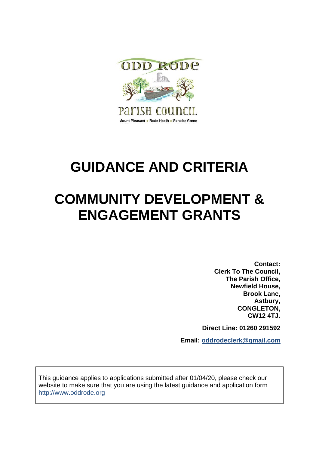

# **GUIDANCE AND CRITERIA**

# **COMMUNITY DEVELOPMENT & ENGAGEMENT GRANTS**

**Contact: Clerk To The Council, The Parish Office, Newfield House, Brook Lane, Astbury, CONGLETON, CW12 4TJ.**

**Direct Line: 01260 291592**

**Email: oddrodeclerk@gmail.com**

This guidance applies to applications submitted after 01/04/20, please check our website to make sure that you are using the latest guidance and application form http://www.oddrode.org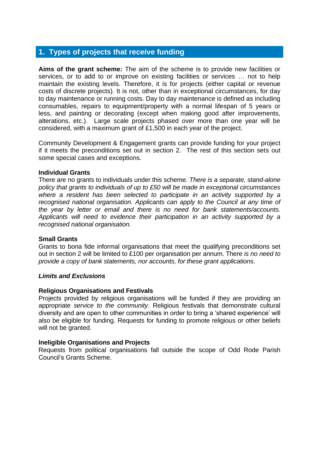## **1. Types of projects that receive funding**

**Aims of the grant scheme:** The aim of the scheme is to provide new facilities or services, or to add to or improve on existing facilities or services … not to help maintain the existing levels. Therefore, it is for projects (either capital or revenue costs of discrete projects). It is not, other than in exceptional circumstances, for day to day maintenance or running costs. Day to day maintenance is defined as including consumables, repairs to equipment/property with a normal lifespan of 5 years or less, and painting or decorating (except when making good after improvements, alterations, etc.). Large scale projects phased over more than one year will be considered, with a maximum grant of £1,500 in each year of the project.

Community Development & Engagement grants can provide funding for your project if it meets the preconditions set out in section 2. The rest of this section sets out some special cases and exceptions.

#### **Individual Grants**

There are no grants to individuals under this scheme. *There is a separate, stand-alone policy that grants to individuals of up to £50 will be made in exceptional circumstances where a resident has been selected to participate in an activity supported by a recognised national organisation. Applicants can apply to the Council at any time of the year by letter or email and there is no need for bank statements/accounts. Applicants will need to evidence their participation in an activity supported by a recognised national organisation.*

#### **Small Grants**

Grants to bona fide informal organisations that meet the qualifying preconditions set out in section 2 will be limited to £100 per organisation per annum. There *is no need to provide a copy of bank statements, nor accounts, for these grant applications*.

#### *Limits and Exclusions*

#### **Religious Organisations and Festivals**

Projects provided by religious organisations will be funded if they are providing an appropriate *service to the community*. Religious festivals that demonstrate cultural diversity and are open to other communities in order to bring a 'shared experience' will also be eligible for funding. Requests for funding to promote religious or other beliefs will not be granted.

#### **Ineligible Organisations and Projects**

Requests from political organisations fall outside the scope of Odd Rode Parish Council's Grants Scheme.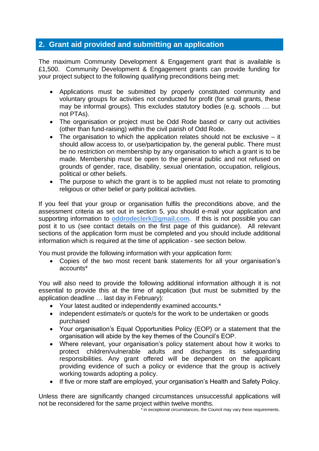## **2. Grant aid provided and submitting an application**

The maximum Community Development & Engagement grant that is available is £1,500. Community Development & Engagement grants can provide funding for your project subject to the following qualifying preconditions being met:

- Applications must be submitted by properly constituted community and voluntary groups for activities not conducted for profit (for small grants, these may be informal groups). This excludes statutory bodies (e.g. schools … but not PTAs).
- The organisation or project must be Odd Rode based or carry out activities (other than fund-raising) within the civil parish of Odd Rode.
- The organisation to which the application relates should not be exclusive it should allow access to, or use/participation by, the general public. There must be no restriction on membership by any organisation to which a grant is to be made. Membership must be open to the general public and not refused on grounds of gender, race, disability, sexual orientation, occupation, religious, political or other beliefs.
- The purpose to which the grant is to be applied must not relate to promoting religious or other belief or party political activities.

If you feel that your group or organisation fulfils the preconditions above, and the assessment criteria as set out in section 5, you should e-mail your application and supporting information to **oddrodeclerk@gmail.com**. If this is not possible you can post it to us (see contact details on the first page of this guidance). All relevant sections of the application form must be completed and you should include additional information which is required at the time of application - see section below.

You must provide the following information with your application form:

• Copies of the two most recent bank statements for all your organisation's accounts\*

You will also need to provide the following additional information although it is not essential to provide this at the time of application (but must be submitted by the application deadline … last day in February):

- Your latest audited or independently examined accounts.\*
- independent estimate/s or quote/s for the work to be undertaken or goods purchased
- Your organisation's Equal Opportunities Policy (EOP) or a statement that the organisation will abide by the key themes of the Council's EOP.
- Where relevant, your organisation's policy statement about how it works to protect children/vulnerable adults and discharges its safeguarding responsibilities. Any grant offered will be dependent on the applicant providing evidence of such a policy or evidence that the group is actively working towards adopting a policy.
- If five or more staff are employed, your organisation's Health and Safety Policy.

Unless there are significantly changed circumstances unsuccessful applications will not be reconsidered for the same project within twelve months.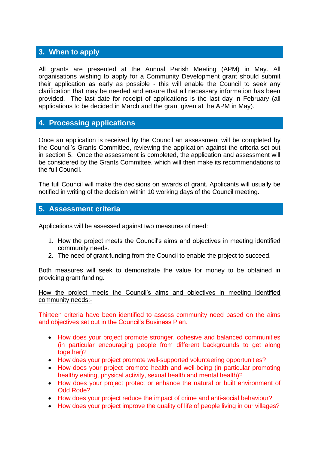## **3. When to apply**

All grants are presented at the Annual Parish Meeting (APM) in May. All organisations wishing to apply for a Community Development grant should submit their application as early as possible - this will enable the Council to seek any clarification that may be needed and ensure that all necessary information has been provided. The last date for receipt of applications is the last day in February (all applications to be decided in March and the grant given at the APM in May).

## **4. Processing applications**

Once an application is received by the Council an assessment will be completed by the Council's Grants Committee, reviewing the application against the criteria set out in section 5. Once the assessment is completed, the application and assessment will be considered by the Grants Committee, which will then make its recommendations to the full Council.

The full Council will make the decisions on awards of grant. Applicants will usually be notified in writing of the decision within 10 working days of the Council meeting.

## **5. Assessment criteria**

Applications will be assessed against two measures of need:

- 1. How the project meets the Council's aims and objectives in meeting identified community needs.
- 2. The need of grant funding from the Council to enable the project to succeed.

Both measures will seek to demonstrate the value for money to be obtained in providing grant funding.

How the project meets the Council's aims and objectives in meeting identified community needs:-

Thirteen criteria have been identified to assess community need based on the aims and objectives set out in the Council's Business Plan.

- How does your project promote stronger, cohesive and balanced communities (in particular encouraging people from different backgrounds to get along together)?
- How does your project promote well-supported volunteering opportunities?
- How does your project promote health and well-being (in particular promoting healthy eating, physical activity, sexual health and mental health)?
- How does your project protect or enhance the natural or built environment of Odd Rode?
- How does your project reduce the impact of crime and anti-social behaviour?
- How does your project improve the quality of life of people living in our villages?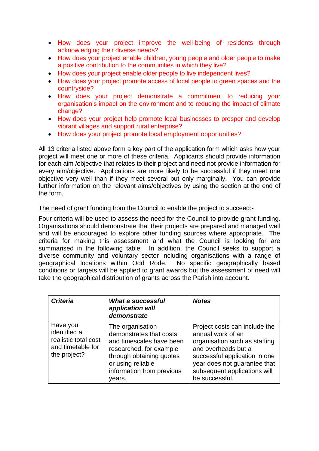- How does your project improve the well-being of residents through acknowledging their diverse needs?
- How does your project enable children, young people and older people to make a positive contribution to the communities in which they live?
- How does your project enable older people to live independent lives?
- How does your project promote access of local people to green spaces and the countryside?
- How does your project demonstrate a commitment to reducing your organisation's impact on the environment and to reducing the impact of climate change?
- How does your project help promote local businesses to prosper and develop vibrant villages and support rural enterprise?
- How does your project promote local employment opportunities?

All 13 criteria listed above form a key part of the application form which asks how your project will meet one or more of these criteria. Applicants should provide information for each aim /objective that relates to their project and need not provide information for every aim/objective. Applications are more likely to be successful if they meet one objective very well than if they meet several but only marginally. You can provide further information on the relevant aims/objectives by using the section at the end of the form.

### The need of grant funding from the Council to enable the project to succeed:-

Four criteria will be used to assess the need for the Council to provide grant funding. Organisations should demonstrate that their projects are prepared and managed well and will be encouraged to explore other funding sources where appropriate. The criteria for making this assessment and what the Council is looking for are summarised in the following table. In addition, the Council seeks to support a diverse community and voluntary sector including organisations with a range of geographical locations within Odd Rode. No specific geographically based conditions or targets will be applied to grant awards but the assessment of need will take the geographical distribution of grants across the Parish into account.

| <b>Criteria</b>                                                                       | <b>What a successful</b><br>application will<br>demonstrate                                                                                                                                | <b>Notes</b>                                                                                                                                                                                                                  |
|---------------------------------------------------------------------------------------|--------------------------------------------------------------------------------------------------------------------------------------------------------------------------------------------|-------------------------------------------------------------------------------------------------------------------------------------------------------------------------------------------------------------------------------|
| Have you<br>identified a<br>realistic total cost<br>and timetable for<br>the project? | The organisation<br>demonstrates that costs<br>and timescales have been<br>researched, for example<br>through obtaining quotes<br>or using reliable<br>information from previous<br>years. | Project costs can include the<br>annual work of an<br>organisation such as staffing<br>and overheads but a<br>successful application in one<br>year does not guarantee that<br>subsequent applications will<br>be successful. |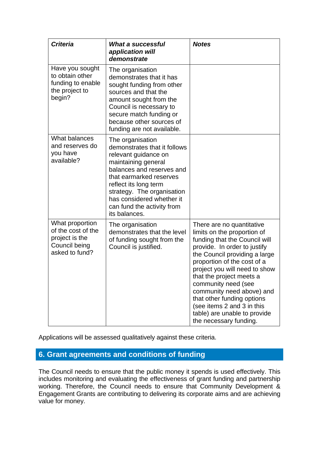| <b>Criteria</b>                                                                            | <b>What a successful</b><br>application will<br>demonstrate                                                                                                                                                                                                                                | <b>Notes</b>                                                                                                                                                                                                                                                                                                                                                                                                                     |
|--------------------------------------------------------------------------------------------|--------------------------------------------------------------------------------------------------------------------------------------------------------------------------------------------------------------------------------------------------------------------------------------------|----------------------------------------------------------------------------------------------------------------------------------------------------------------------------------------------------------------------------------------------------------------------------------------------------------------------------------------------------------------------------------------------------------------------------------|
| Have you sought<br>to obtain other<br>funding to enable<br>the project to<br>begin?        | The organisation<br>demonstrates that it has<br>sought funding from other<br>sources and that the<br>amount sought from the<br>Council is necessary to<br>secure match funding or<br>because other sources of<br>funding are not available.                                                |                                                                                                                                                                                                                                                                                                                                                                                                                                  |
| What balances<br>and reserves do<br>you have<br>available?                                 | The organisation<br>demonstrates that it follows<br>relevant guidance on<br>maintaining general<br>balances and reserves and<br>that earmarked reserves<br>reflect its long term<br>strategy. The organisation<br>has considered whether it<br>can fund the activity from<br>its balances. |                                                                                                                                                                                                                                                                                                                                                                                                                                  |
| What proportion<br>of the cost of the<br>project is the<br>Council being<br>asked to fund? | The organisation<br>demonstrates that the level<br>of funding sought from the<br>Council is justified.                                                                                                                                                                                     | There are no quantitative<br>limits on the proportion of<br>funding that the Council will<br>provide. In order to justify<br>the Council providing a large<br>proportion of the cost of a<br>project you will need to show<br>that the project meets a<br>community need (see<br>community need above) and<br>that other funding options<br>(see items 2 and 3 in this<br>table) are unable to provide<br>the necessary funding. |

Applications will be assessed qualitatively against these criteria.

## **6. Grant agreements and conditions of funding**

The Council needs to ensure that the public money it spends is used effectively. This includes monitoring and evaluating the effectiveness of grant funding and partnership working. Therefore, the Council needs to ensure that Community Development & Engagement Grants are contributing to delivering its corporate aims and are achieving value for money.